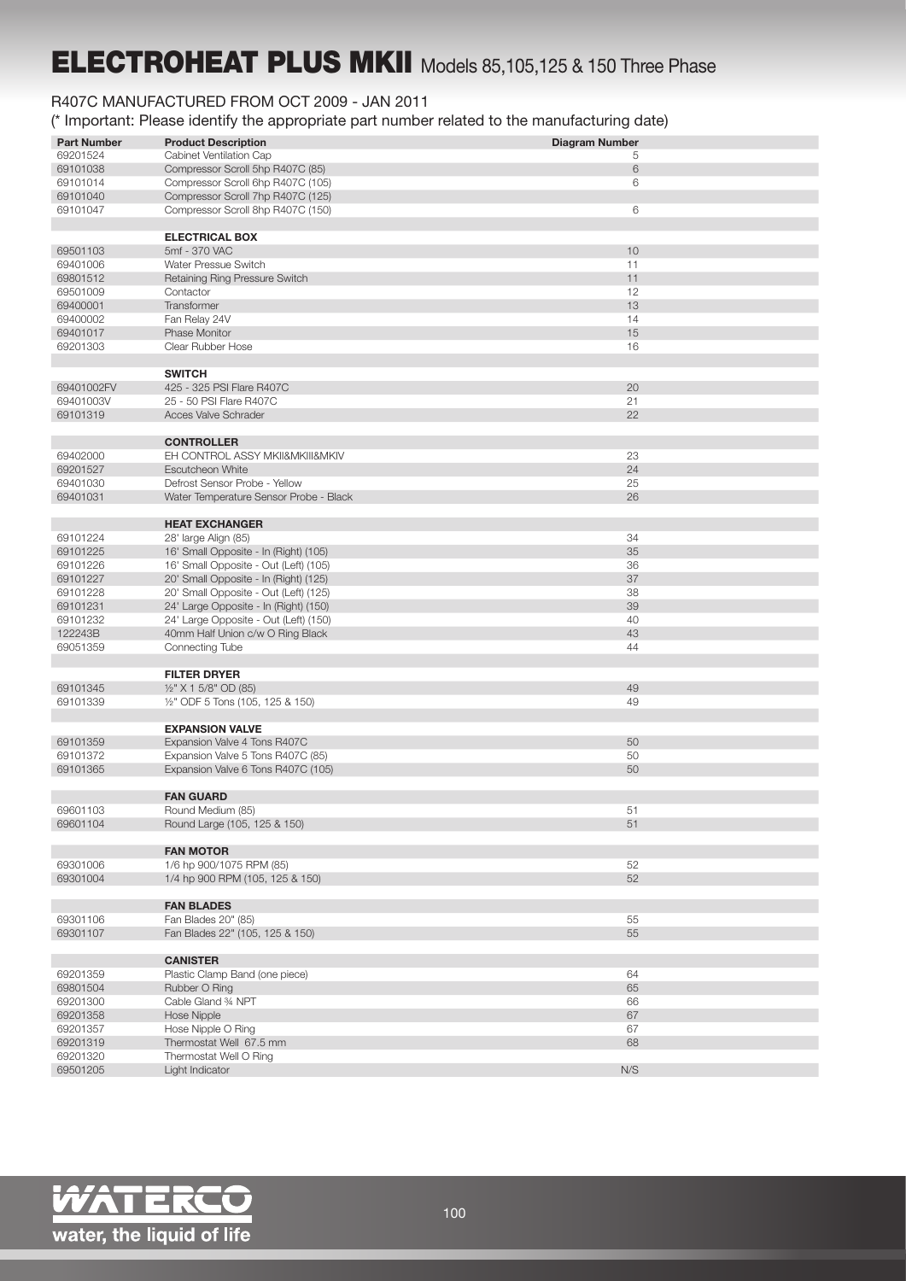## ELECTROHEAT PLUS MKII Models 85,105,125 & 150 Three Phase

## R407C MANUFACTURED FROM OCT 2009 - JAN 2011

(\* Important: Please identify the appropriate part number related to the manufacturing date)

| <b>Part Number</b> | <b>Product Description</b>             | <b>Diagram Number</b> |
|--------------------|----------------------------------------|-----------------------|
| 69201524           | Cabinet Ventilation Cap                | 5                     |
| 69101038           | Compressor Scroll 5hp R407C (85)       | 6                     |
| 69101014           | Compressor Scroll 6hp R407C (105)      | 6                     |
| 69101040           | Compressor Scroll 7hp R407C (125)      |                       |
| 69101047           | Compressor Scroll 8hp R407C (150)      | 6                     |
|                    |                                        |                       |
|                    |                                        |                       |
|                    | <b>ELECTRICAL BOX</b>                  |                       |
| 69501103           | 5mf - 370 VAC                          | 10                    |
| 69401006           | Water Pressue Switch                   | 11                    |
| 69801512           | Retaining Ring Pressure Switch         | 11                    |
| 69501009           | Contactor                              | 12                    |
| 69400001           | Transformer                            | 13                    |
| 69400002           | Fan Relay 24V                          | 14                    |
| 69401017           | Phase Monitor                          | 15                    |
| 69201303           | Clear Rubber Hose                      | 16                    |
|                    |                                        |                       |
|                    | <b>SWITCH</b>                          |                       |
|                    |                                        |                       |
| 69401002FV         | 425 - 325 PSI Flare R407C              | 20                    |
| 69401003V          | 25 - 50 PSI Flare R407C                | 21                    |
| 69101319           | <b>Acces Valve Schrader</b>            | 22                    |
|                    |                                        |                       |
|                    | <b>CONTROLLER</b>                      |                       |
| 69402000           | EH CONTROL ASSY MKII&MKIII&MKIV        | 23                    |
| 69201527           | <b>Escutcheon White</b>                | 24                    |
| 69401030           | Defrost Sensor Probe - Yellow          | 25                    |
| 69401031           | Water Temperature Sensor Probe - Black | 26                    |
|                    |                                        |                       |
|                    | <b>HEAT EXCHANGER</b>                  |                       |
|                    |                                        |                       |
| 69101224           | 28' large Align (85)                   | 34                    |
| 69101225           | 16' Small Opposite - In (Right) (105)  | 35                    |
| 69101226           | 16' Small Opposite - Out (Left) (105)  | 36                    |
| 69101227           | 20' Small Opposite - In (Right) (125)  | 37                    |
| 69101228           | 20' Small Opposite - Out (Left) (125)  | 38                    |
| 69101231           | 24' Large Opposite - In (Right) (150)  | 39                    |
| 69101232           | 24' Large Opposite - Out (Left) (150)  | 40                    |
| 122243B            | 40mm Half Union c/w O Ring Black       | 43                    |
| 69051359           | Connecting Tube                        | 44                    |
|                    |                                        |                       |
|                    | <b>FILTER DRYER</b>                    |                       |
| 69101345           | 1/2" X 1 5/8" OD (85)                  | 49                    |
| 69101339           | 1/2" ODF 5 Tons (105, 125 & 150)       | 49                    |
|                    |                                        |                       |
|                    |                                        |                       |
|                    | <b>EXPANSION VALVE</b>                 |                       |
| 69101359           | Expansion Valve 4 Tons R407C           | 50                    |
| 69101372           | Expansion Valve 5 Tons R407C (85)      | 50                    |
| 69101365           | Expansion Valve 6 Tons R407C (105)     | 50                    |
|                    |                                        |                       |
|                    | <b>FAN GUARD</b>                       |                       |
| 69601103           | Round Medium (85)                      | 51                    |
| 69601104           | Round Large (105, 125 & 150)           | 51                    |
|                    |                                        |                       |
|                    | <b>FAN MOTOR</b>                       |                       |
| 69301006           | 1/6 hp 900/1075 RPM (85)               | 52                    |
| 69301004           | 1/4 hp 900 RPM (105, 125 & 150)        | 52                    |
|                    |                                        |                       |
|                    | <b>FAN BLADES</b>                      |                       |
|                    |                                        |                       |
| 69301106           | Fan Blades 20" (85)                    | 55                    |
| 69301107           | Fan Blades 22" (105, 125 & 150)        | 55                    |
|                    |                                        |                       |
|                    | <b>CANISTER</b>                        |                       |
| 69201359           | Plastic Clamp Band (one piece)         | 64                    |
| 69801504           | Rubber O Ring                          | 65                    |
| 69201300           | Cable Gland 34 NPT                     | 66                    |
| 69201358           | <b>Hose Nipple</b>                     | 67                    |
| 69201357           | Hose Nipple O Ring                     | 67                    |
| 69201319           | Thermostat Well 67.5 mm                | 68                    |
|                    |                                        |                       |
| 69201320           | Thermostat Well O Ring                 |                       |
| 69501205           | Light Indicator                        | N/S                   |